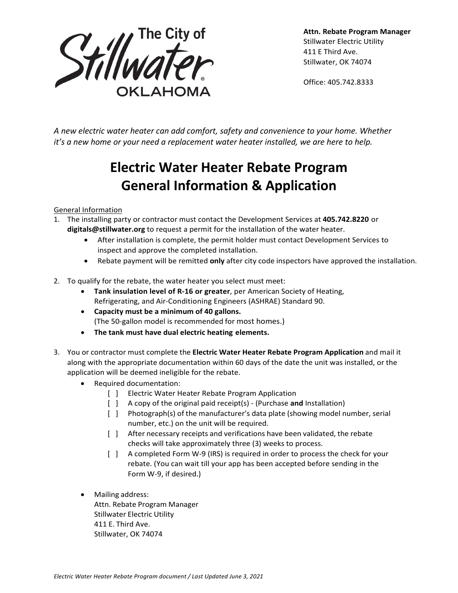

**Attn. Rebate Program Manager** Stillwater Electric Utility 411 E Third Ave. Stillwater, OK 74074

Office: 405.742.8333

*A new electric water heater can add comfort, safety and convenience to your home. Whether it's a new home or your need a replacement water heater installed, we are here to help.*

# **Electric Water Heater Rebate Program General Information & Application**

## General Information

- 1. The installing party or contractor must contact the Development Services at **405.742.8220** or **[digitals@stillwater.org](mailto:digitals@stillwater.org)** to request a permit for the installation of the water heater.
	- After installation is complete, the permit holder must contact Development Services to inspect and approve the completed installation.
	- Rebate payment will be remitted **only** after city code inspectors have approved the installation.
- 2. To qualify for the rebate, the water heater you select must meet:
	- **Tank insulation level of R-16 or greater**, per American Society of Heating, Refrigerating, and Air-Conditioning Engineers (ASHRAE) Standard 90.
	- **Capacity must be a minimum of 40 gallons.** (The 50-gallon model is recommended for most homes.)
	- **The tank must have dual electric heating elements.**
- 3. You or contractor must complete the **Electric Water Heater Rebate Program Application** and mail it along with the appropriate documentation within 60 days of the date the unit was installed, or the application will be deemed ineligible for the rebate.
	- Required documentation:
		- [ ] Electric Water Heater Rebate Program Application
		- [ ] A copy of the original paid receipt(s) (Purchase **and** Installation)
		- [ ] Photograph(s) of the manufacturer's data plate (showing model number, serial number, etc.) on the unit will be required.
		- [ ] After necessary receipts and verifications have been validated, the rebate checks will take approximately three (3) weeks to process.
		- [ ] A completed Form W-9 (IRS) is required in order to process the check for your rebate. (You can wait till your app has been accepted before sending in the Form W-9, if desired.)
	- Mailing address: Attn. Rebate Program Manager Stillwater Electric Utility 411 E. Third Ave. Stillwater, OK 74074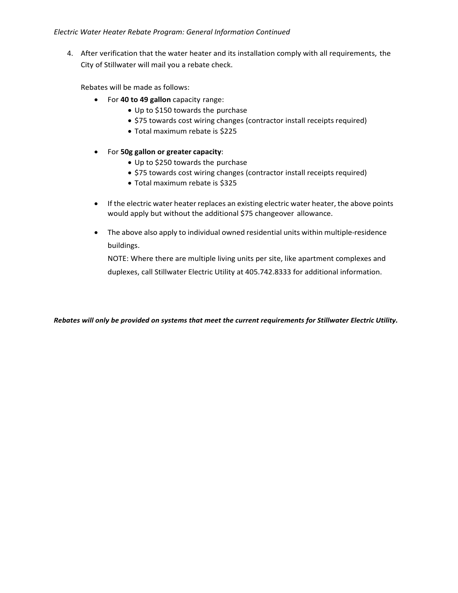### *Electric Water Heater Rebate Program: General Information Continued*

4. After verification that the water heater and its installation comply with all requirements, the City of Stillwater will mail you a rebate check.

Rebates will be made as follows:

- For **40 to 49 gallon** capacity range:
	- Up to \$150 towards the purchase
	- \$75 towards cost wiring changes (contractor install receipts required)
	- Total maximum rebate is \$225
- For **50g gallon or greater capacity**:
	- Up to \$250 towards the purchase
	- \$75 towards cost wiring changes (contractor install receipts required)
	- Total maximum rebate is \$325
- If the electric water heater replaces an existing electric water heater, the above points would apply but without the additional \$75 changeover allowance.
- The above also apply to individual owned residential units within multiple-residence buildings.

NOTE: Where there are multiple living units per site, like apartment complexes and duplexes, call Stillwater Electric Utility at 405.742.8333 for additional information.

*Rebates will only be provided on systems that meet the current requirements for Stillwater Electric Utility.*